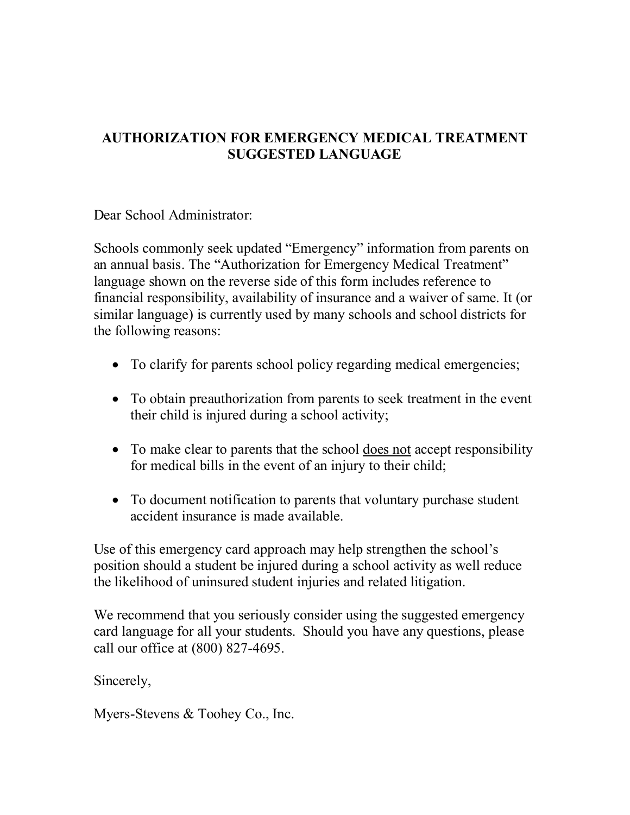## AUTHORIZATION FOR EMERGENCY MEDICAL TREATMENT SUGGESTED LANGUAGE

Dear School Administrator:

Schools commonly seek updated "Emergency" information from parents on an annual basis. The "Authorization for Emergency Medical Treatment" language shown on the reverse side of this form includes reference to financial responsibility, availability of insurance and a waiver of same. It (or similar language) is currently used by many schools and school districts for the following reasons:

- To clarify for parents school policy regarding medical emergencies;
- · To obtain preauthorization from parents to seek treatment in the event their child is injured during a school activity;
- To make clear to parents that the school does not accept responsibility for medical bills in the event of an injury to their child;
- · To document notification to parents that voluntary purchase student accident insurance is made available.

Use of this emergency card approach may help strengthen the school's position should a student be injured during a school activity as well reduce the likelihood of uninsured student injuries and related litigation.

We recommend that you seriously consider using the suggested emergency card language for all your students. Should you have any questions, please call our office at (800) 827-4695.

Sincerely,

Myers-Stevens & Toohey Co., Inc.